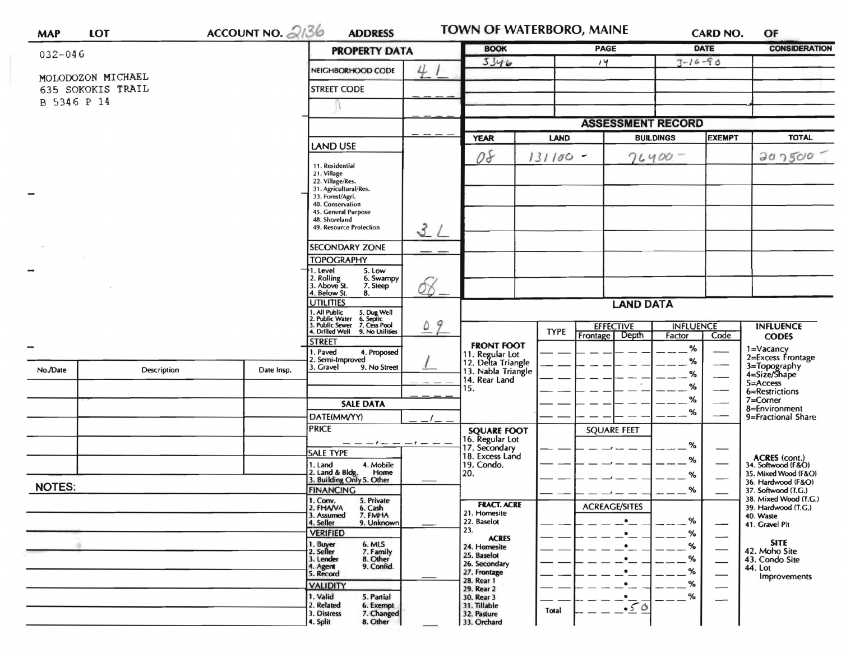| <b>PROPERTY DATA</b><br>4<br>NEIGHBORHOOD CODE<br><b>STREET CODE</b><br><b>LAND USE</b><br>11. Residential<br>22. Village/Res.<br>31. Agricultural/Res.<br>33. Forest/Agri.<br>40. Conservation<br>45. General Purpose<br>48. Shoreland<br>$\mathcal{Z}$<br>49. Resource Protection<br><b>SECONDARY ZONE</b><br><b>TOPOGRAPHY</b><br>5. Low<br>6. Swampy<br>7. Steep<br>ÓB<br>8. | <b>YEAR</b><br>08                                                                                                                                                                                                                  | <b>BOOK</b><br>3346 | <b>LAND</b><br>$131100 -$                                                                                                                                                                                                                                                        | PAGE<br>14<br><b>ASSESSMENT RECORD</b>                                                                                         | DATE<br>$3 - 16 - 90$<br><b>BUILDINGS</b><br>$76400 -$ | <b>EXEMPT</b>                                                                     | <b>CONSIDERATION</b><br><b>TOTAL</b><br>202500                                        |
|----------------------------------------------------------------------------------------------------------------------------------------------------------------------------------------------------------------------------------------------------------------------------------------------------------------------------------------------------------------------------------|------------------------------------------------------------------------------------------------------------------------------------------------------------------------------------------------------------------------------------|---------------------|----------------------------------------------------------------------------------------------------------------------------------------------------------------------------------------------------------------------------------------------------------------------------------|--------------------------------------------------------------------------------------------------------------------------------|--------------------------------------------------------|-----------------------------------------------------------------------------------|---------------------------------------------------------------------------------------|
|                                                                                                                                                                                                                                                                                                                                                                                  |                                                                                                                                                                                                                                    |                     |                                                                                                                                                                                                                                                                                  |                                                                                                                                |                                                        |                                                                                   |                                                                                       |
|                                                                                                                                                                                                                                                                                                                                                                                  |                                                                                                                                                                                                                                    |                     |                                                                                                                                                                                                                                                                                  |                                                                                                                                |                                                        |                                                                                   |                                                                                       |
|                                                                                                                                                                                                                                                                                                                                                                                  |                                                                                                                                                                                                                                    |                     |                                                                                                                                                                                                                                                                                  |                                                                                                                                |                                                        |                                                                                   |                                                                                       |
|                                                                                                                                                                                                                                                                                                                                                                                  |                                                                                                                                                                                                                                    |                     |                                                                                                                                                                                                                                                                                  |                                                                                                                                |                                                        |                                                                                   |                                                                                       |
|                                                                                                                                                                                                                                                                                                                                                                                  |                                                                                                                                                                                                                                    |                     |                                                                                                                                                                                                                                                                                  |                                                                                                                                |                                                        |                                                                                   |                                                                                       |
|                                                                                                                                                                                                                                                                                                                                                                                  |                                                                                                                                                                                                                                    |                     |                                                                                                                                                                                                                                                                                  |                                                                                                                                |                                                        |                                                                                   |                                                                                       |
|                                                                                                                                                                                                                                                                                                                                                                                  |                                                                                                                                                                                                                                    |                     |                                                                                                                                                                                                                                                                                  |                                                                                                                                |                                                        |                                                                                   |                                                                                       |
|                                                                                                                                                                                                                                                                                                                                                                                  |                                                                                                                                                                                                                                    |                     |                                                                                                                                                                                                                                                                                  |                                                                                                                                |                                                        |                                                                                   |                                                                                       |
|                                                                                                                                                                                                                                                                                                                                                                                  |                                                                                                                                                                                                                                    |                     |                                                                                                                                                                                                                                                                                  |                                                                                                                                |                                                        |                                                                                   |                                                                                       |
|                                                                                                                                                                                                                                                                                                                                                                                  |                                                                                                                                                                                                                                    |                     |                                                                                                                                                                                                                                                                                  |                                                                                                                                |                                                        |                                                                                   |                                                                                       |
|                                                                                                                                                                                                                                                                                                                                                                                  |                                                                                                                                                                                                                                    |                     |                                                                                                                                                                                                                                                                                  |                                                                                                                                |                                                        |                                                                                   |                                                                                       |
|                                                                                                                                                                                                                                                                                                                                                                                  |                                                                                                                                                                                                                                    |                     |                                                                                                                                                                                                                                                                                  |                                                                                                                                |                                                        |                                                                                   |                                                                                       |
|                                                                                                                                                                                                                                                                                                                                                                                  |                                                                                                                                                                                                                                    |                     |                                                                                                                                                                                                                                                                                  |                                                                                                                                |                                                        |                                                                                   |                                                                                       |
|                                                                                                                                                                                                                                                                                                                                                                                  |                                                                                                                                                                                                                                    |                     |                                                                                                                                                                                                                                                                                  |                                                                                                                                |                                                        |                                                                                   |                                                                                       |
|                                                                                                                                                                                                                                                                                                                                                                                  |                                                                                                                                                                                                                                    |                     |                                                                                                                                                                                                                                                                                  |                                                                                                                                |                                                        |                                                                                   |                                                                                       |
|                                                                                                                                                                                                                                                                                                                                                                                  |                                                                                                                                                                                                                                    |                     |                                                                                                                                                                                                                                                                                  |                                                                                                                                |                                                        |                                                                                   |                                                                                       |
|                                                                                                                                                                                                                                                                                                                                                                                  |                                                                                                                                                                                                                                    |                     |                                                                                                                                                                                                                                                                                  |                                                                                                                                |                                                        |                                                                                   |                                                                                       |
|                                                                                                                                                                                                                                                                                                                                                                                  |                                                                                                                                                                                                                                    |                     |                                                                                                                                                                                                                                                                                  |                                                                                                                                |                                                        |                                                                                   |                                                                                       |
| <b>UTILITIES</b>                                                                                                                                                                                                                                                                                                                                                                 |                                                                                                                                                                                                                                    |                     |                                                                                                                                                                                                                                                                                  |                                                                                                                                |                                                        |                                                                                   |                                                                                       |
| 1. All Public<br>2. Public Water<br>3. Public Sewer<br>4. Drilled Well                                                                                                                                                                                                                                                                                                           |                                                                                                                                                                                                                                    |                     |                                                                                                                                                                                                                                                                                  | <b>EFFECTIVE</b>                                                                                                               |                                                        |                                                                                   | <b>INFLUENCE</b>                                                                      |
|                                                                                                                                                                                                                                                                                                                                                                                  |                                                                                                                                                                                                                                    |                     |                                                                                                                                                                                                                                                                                  |                                                                                                                                |                                                        |                                                                                   | <b>CODES</b>                                                                          |
| 2. Semi-Improved                                                                                                                                                                                                                                                                                                                                                                 |                                                                                                                                                                                                                                    |                     |                                                                                                                                                                                                                                                                                  |                                                                                                                                |                                                        |                                                                                   | 1=Vacancy<br>2=Excess Frontage                                                        |
| 9. No Street                                                                                                                                                                                                                                                                                                                                                                     |                                                                                                                                                                                                                                    |                     |                                                                                                                                                                                                                                                                                  |                                                                                                                                |                                                        |                                                                                   | 3=Topography<br>4=Size/Shape                                                          |
|                                                                                                                                                                                                                                                                                                                                                                                  | 15.                                                                                                                                                                                                                                |                     |                                                                                                                                                                                                                                                                                  |                                                                                                                                | %                                                      |                                                                                   | 5=Access<br>6=Restrictions                                                            |
|                                                                                                                                                                                                                                                                                                                                                                                  |                                                                                                                                                                                                                                    |                     |                                                                                                                                                                                                                                                                                  |                                                                                                                                | %                                                      | 7=Corner                                                                          |                                                                                       |
| DATE(MM/YY)                                                                                                                                                                                                                                                                                                                                                                      |                                                                                                                                                                                                                                    |                     |                                                                                                                                                                                                                                                                                  |                                                                                                                                | %                                                      |                                                                                   | 8=Environment<br>9=Fractional Share                                                   |
|                                                                                                                                                                                                                                                                                                                                                                                  |                                                                                                                                                                                                                                    |                     |                                                                                                                                                                                                                                                                                  | <b>SQUARE FEET</b>                                                                                                             |                                                        |                                                                                   |                                                                                       |
|                                                                                                                                                                                                                                                                                                                                                                                  |                                                                                                                                                                                                                                    |                     |                                                                                                                                                                                                                                                                                  |                                                                                                                                | %                                                      |                                                                                   |                                                                                       |
|                                                                                                                                                                                                                                                                                                                                                                                  |                                                                                                                                                                                                                                    |                     |                                                                                                                                                                                                                                                                                  |                                                                                                                                | %                                                      |                                                                                   | ACRES (cont.)<br>34. Softwood (F&O)                                                   |
| Home                                                                                                                                                                                                                                                                                                                                                                             | 20.                                                                                                                                                                                                                                |                     |                                                                                                                                                                                                                                                                                  |                                                                                                                                | %                                                      |                                                                                   | 35. Mixed Wood (F&O)                                                                  |
| <b>FINANCING</b>                                                                                                                                                                                                                                                                                                                                                                 |                                                                                                                                                                                                                                    |                     |                                                                                                                                                                                                                                                                                  |                                                                                                                                | %                                                      |                                                                                   | 36. Hardwood (F&O)<br>37. Softwood (T.G.)                                             |
| 5. Private                                                                                                                                                                                                                                                                                                                                                                       |                                                                                                                                                                                                                                    |                     |                                                                                                                                                                                                                                                                                  |                                                                                                                                |                                                        |                                                                                   | 38. Mixed Wood (T.G.)<br>39. Hardwood (T.G.)                                          |
| 7. FMHA                                                                                                                                                                                                                                                                                                                                                                          |                                                                                                                                                                                                                                    |                     |                                                                                                                                                                                                                                                                                  |                                                                                                                                |                                                        |                                                                                   | 40. Waste                                                                             |
|                                                                                                                                                                                                                                                                                                                                                                                  | 23.                                                                                                                                                                                                                                |                     |                                                                                                                                                                                                                                                                                  |                                                                                                                                | %                                                      |                                                                                   | 41. Gravel Pit                                                                        |
| 6. MLS                                                                                                                                                                                                                                                                                                                                                                           |                                                                                                                                                                                                                                    | 24. Homesite        |                                                                                                                                                                                                                                                                                  |                                                                                                                                | %                                                      | $\overline{\phantom{0}}$                                                          | <b>SITE</b><br>42. Moho Site                                                          |
| 8. Other                                                                                                                                                                                                                                                                                                                                                                         |                                                                                                                                                                                                                                    |                     |                                                                                                                                                                                                                                                                                  |                                                                                                                                | %                                                      | —                                                                                 | 43. Condo Site                                                                        |
|                                                                                                                                                                                                                                                                                                                                                                                  |                                                                                                                                                                                                                                    |                     |                                                                                                                                                                                                                                                                                  |                                                                                                                                | %                                                      | —                                                                                 | 44. Lot<br>Improvements                                                               |
|                                                                                                                                                                                                                                                                                                                                                                                  |                                                                                                                                                                                                                                    |                     |                                                                                                                                                                                                                                                                                  |                                                                                                                                | ℅                                                      |                                                                                   |                                                                                       |
| 6. Exempt                                                                                                                                                                                                                                                                                                                                                                        |                                                                                                                                                                                                                                    |                     |                                                                                                                                                                                                                                                                                  |                                                                                                                                |                                                        | $\overline{\phantom{0}}$                                                          |                                                                                       |
| 7. Changed                                                                                                                                                                                                                                                                                                                                                                       |                                                                                                                                                                                                                                    |                     |                                                                                                                                                                                                                                                                                  |                                                                                                                                |                                                        |                                                                                   |                                                                                       |
|                                                                                                                                                                                                                                                                                                                                                                                  | 5. Dug Well<br>6. Septic<br>7. Cess Pool<br>9. No Utilities<br>4. Proposed<br><b>SALE DATA</b><br>4. Mobile<br>2. Land & Bldg. Home<br>3. Building Only 5. Other<br>6. Cash<br>9. Unknown<br>7. Family<br>9. Confid.<br>5. Partial | 09                  | 14. Rear Land<br>16. Regular Lot<br>17. Secondary<br>18. Excess Land<br>19. Condo.<br><b>FRACT. ACRE</b><br>21. Homesite<br>22. Baselot<br><b>ACRES</b><br>25. Baselot<br>26. Secondary<br>27. Frontage<br>28. Rear 1<br>29. Rear 2<br>30. Rear 3<br>31. Tillable<br>32. Pasture | <b>TYPE</b><br><b>FRONT FOOT</b><br>11. Regular Lot<br>12. Delta Triangle<br>13. Nabla Triangle<br><b>SQUARE FOOT</b><br>Total | Frontage   Depth<br><b>ACREAGE/SITES</b><br>$-50$      | <b>LAND DATA</b><br>Factor<br>$\%$<br>%<br>%<br>%<br>%<br>8. Other<br>33. Orchard | <b>INFLUENCE</b><br>Code<br>$\overbrace{\phantom{aaaaa}}$<br>$\overline{\phantom{0}}$ |